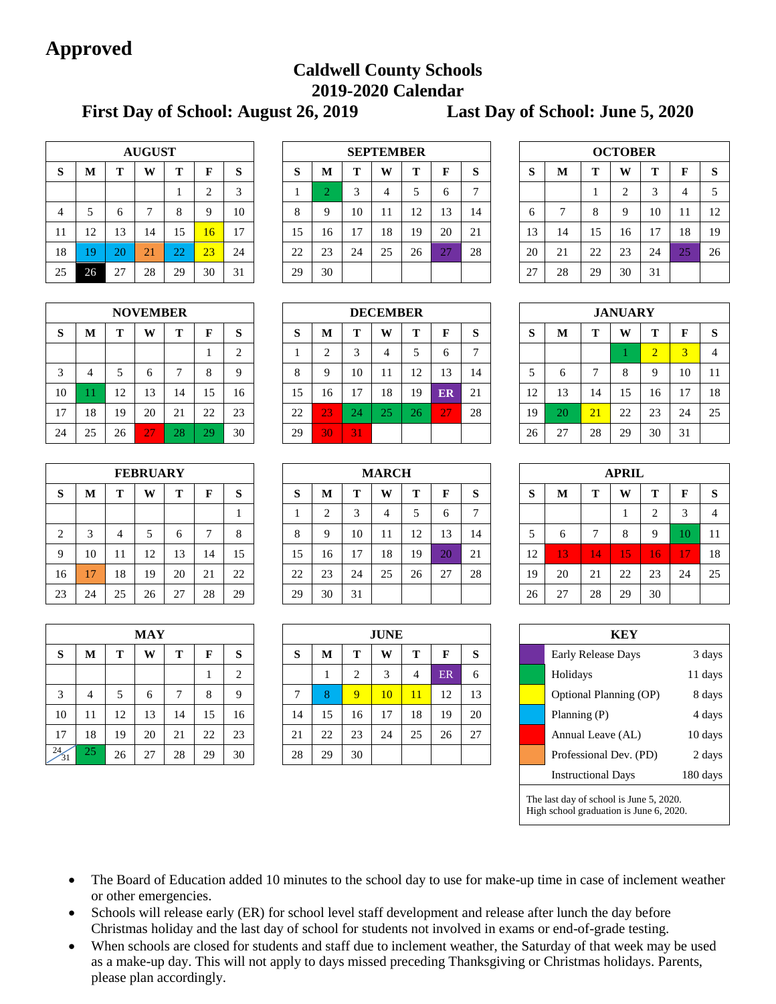# **Approved**

# **Caldwell County Schools 2019-2020 Calendar**

**First Day of School: August 26, 2019 Last Day of School: June 5, 2020**

| <b>AUGUST</b> |    |    |    |    |                |    |  |  |  |
|---------------|----|----|----|----|----------------|----|--|--|--|
| S             | M  | T  | W  | T  | F              | S  |  |  |  |
|               |    |    |    |    | $\overline{2}$ | 3  |  |  |  |
| 4             | 5  | 6  | 7  | 8  | 9              | 10 |  |  |  |
| 11            | 12 | 13 | 14 | 15 | 16             | 17 |  |  |  |
| 18            | 19 | 20 | 21 | 22 | 23             | 24 |  |  |  |
| 25            | 26 | 27 | 28 | 29 | 30             | 31 |  |  |  |

| <b>NOVEMBER</b> |                            |    |    |    |    |                |  |  |  |  |
|-----------------|----------------------------|----|----|----|----|----------------|--|--|--|--|
| S               | T<br>T<br>S<br>M<br>W<br>F |    |    |    |    |                |  |  |  |  |
|                 |                            |    |    |    | 1  | $\overline{2}$ |  |  |  |  |
| 3               | 4                          | 5  | 6  | 7  | 8  | 9              |  |  |  |  |
| 10              | 11                         | 12 | 13 | 14 | 15 | 16             |  |  |  |  |
| 17              | 18                         | 19 | 20 | 21 | 22 | 23             |  |  |  |  |
| 24              | 25                         | 26 | 27 | 28 | 29 | 30             |  |  |  |  |

|                | <b>FEBRUARY</b> |    |    |    |    |    |  |  |  |  |
|----------------|-----------------|----|----|----|----|----|--|--|--|--|
| S              | M               | Т  | W  | T  | F  | S  |  |  |  |  |
|                |                 |    |    |    |    |    |  |  |  |  |
| $\overline{2}$ | 3               |    | 5  | 6  | 7  | 8  |  |  |  |  |
| 9              | 10              | 11 | 12 | 13 | 14 | 15 |  |  |  |  |
| 16             | 17              | 18 | 19 | 20 | 21 | 22 |  |  |  |  |
| 23             | 24              | 25 | 26 | 27 | 28 | 29 |  |  |  |  |

| MAY      |    |    |    |    |    |    |  |  |  |  |
|----------|----|----|----|----|----|----|--|--|--|--|
| S        | M  | T  | W  | T  | F  | S  |  |  |  |  |
|          |    |    |    |    |    | 2  |  |  |  |  |
| 3        | 4  | 5  | 6  | 7  | 8  | 9  |  |  |  |  |
| 10       | 11 | 12 | 13 | 14 | 15 | 16 |  |  |  |  |
| 17       | 18 | 19 | 20 | 21 | 22 | 23 |  |  |  |  |
| 24<br>31 | 25 | 26 | 27 | 28 | 29 | 30 |  |  |  |  |

|                |    |    | <b>AUGUST</b> |          |    |                              |          | <b>SEPTEMBER</b> |    |    |    |              |             |  | <b>OCTOBER</b> |    |    |    |    |                 |    |
|----------------|----|----|---------------|----------|----|------------------------------|----------|------------------|----|----|----|--------------|-------------|--|----------------|----|----|----|----|-----------------|----|
| S              | М  | m  | W             | m        | F  | S                            | D        | M                | m  | W  | т  | F            | $\sim$<br>ø |  | O<br>D         | M  | m  | W  | т  |                 | -S |
|                |    |    |               |          | ◠  | $\mathbf{\overline{3}}$<br>J |          |                  |    | 4  |    | h.           |             |  |                |    |    | ◠  | ⌒  | 4               | 5  |
| $\overline{4}$ |    | n  |               |          |    | 10                           | $\Omega$ | 9                | 10 | 11 | 12 | 13           | 14          |  | o              |    | 8  | Q  | 10 |                 | 12 |
| 11             | 12 | 13 | 14            | 15       | 16 | 17                           | 15       | 16               | 17 | 18 | 19 | 20           | 21          |  | 13             | 14 | 15 | 16 | 17 | 18              | 19 |
| 18             | 9  | 20 | 21            | ററ<br>∠∠ | 23 | 24                           | 22       | 23               | 24 | 25 | 26 | $\cap$<br>27 | 28          |  | 20             | 21 | 22 | 23 | 24 | $\bigcap$<br>23 | 26 |
| 25             | 26 | 27 | 28            | 29       | 30 | 31                           | 29       | 30               |    |    |    |              |             |  | 27             | 28 | 29 | 30 | 31 |                 |    |

|    |    |    | <b>NOVEMBER</b> |    |    |                   | <b>DECEMBER</b> |        |    |          |    |    |    |  |                     |                       |             | <b>JANUARY</b> |    |                |                |
|----|----|----|-----------------|----|----|-------------------|-----------------|--------|----|----------|----|----|----|--|---------------------|-----------------------|-------------|----------------|----|----------------|----------------|
| S  | M  |    | W               | m  | F  | $\mathbf{C}$<br>Ю | Ø               | M      | m  | W        | m  | F  | O  |  | $\mathbf{C}$<br>- 7 | M                     | m           | W              | m  |                | <b>S</b>       |
|    |    |    |                 |    |    | $\sim$<br>∠       |                 | ◠<br>∠ |    |          | ۰. |    |    |  |                     |                       |             |                | ∠  |                | $\overline{4}$ |
| 3  | 4  |    | <sub>0</sub>    |    | 8  | Q                 | ◠               | Q      | 10 | 11       | 12 | 13 | 14 |  |                     |                       |             | 8              |    | 10             | 11             |
| 10 |    | 12 | 13              | 14 | 15 | 16                | 15              | 16     | 17 | 18       | 19 | ER | 21 |  | 12                  | 13                    | 14          | 15             | 16 | 1 <sub>n</sub> | 18             |
| 17 | 18 | 19 | 20              | 21 | 22 | 23                | 22              | 23     | 24 | nε<br>23 | 26 | 27 | 28 |  | 19                  | ററ                    | $\sqrt{21}$ | 22             | 23 | 24             | 25             |
| 24 | 25 | 26 | 27              | 28 | 29 | 30                | 29              | 30     | 31 |          |    |    |    |  | 26                  | 27<br>$\mathcal{L}$ . | 28          | 29             | 30 | 31             |                |

|    |    |    | <b>FEBRUARY</b> |    |    |    |          | <b>MARCH</b> |    |    |    |    |             |               |                        |    | <b>APRIL</b> |    |    |          |
|----|----|----|-----------------|----|----|----|----------|--------------|----|----|----|----|-------------|---------------|------------------------|----|--------------|----|----|----------|
| S  | М  | m  | W               | m  | F  | S  | Ю        | M            | m  | W  | т  | F  | $\sim$<br>O | $\sim$<br>- 7 | M                      | m  | W            | m  |    | <b>S</b> |
|    |    |    |                 |    |    | л  |          | $\sim$<br>∠  |    |    |    |    |             |               |                        |    |              |    |    | 4        |
| 2  |    | 71 |                 |    | −  | 8  | $\Omega$ | 9            | 10 | 11 | 12 | 13 | 14          |               |                        |    | 8            |    |    | 11       |
| 9  | 10 | 11 | 12              | 13 | 14 | 15 | 15       | 16           | 7  | 18 | 19 | 20 | 21          | 12            | 13                     | 14 | 15           | 16 |    | 18       |
| 16 | 7  | 18 | 19              | 20 | 21 | 22 | 22       | 23           | 24 | 25 | 26 | 27 | 28          | 19            | 20                     | 21 | 22           | 23 | 24 | 25       |
| 23 | 24 | 25 | 26              | 27 | 28 | 29 | 29       | 30           | 31 |    |    |    |             | 26            | $\gamma$<br>$\angle I$ | 28 | 29           | 30 |    |          |

|                 |    |    | <b>MAY</b> |    |    |                    | <b>JUNE</b>  |    |                |                 |    |    |    |  | <b>KEY</b>                |         |
|-----------------|----|----|------------|----|----|--------------------|--------------|----|----------------|-----------------|----|----|----|--|---------------------------|---------|
| <sub>S</sub>    | M  |    | W          | m  | F  | S                  | S            | M  | m              | W               | Т  |    | S  |  | <b>Early Release Days</b> | 3 days  |
|                 |    |    |            |    |    | $\mathcal{L}$<br>∠ |              |    |                | $\sim$          | 4  | ER | 6  |  | Holidays                  | 11 days |
| 3               | 4  |    | $\sigma$   |    | 8  | 9                  | $\mathbf{r}$ | 8  | $\overline{Q}$ | 10 <sup>°</sup> | 11 | 12 | 13 |  | Optional Planning (OP)    | 8 days  |
| 10              | 11 | 12 | 13         | 14 | 15 | 16                 | 14           | 15 | 16             | 17              | 18 | 19 | 20 |  | Planning (P)              | 4 days  |
| 17              | 18 | 19 | 20         | 21 | 22 | 23                 | 21           | 22 | 23             | 24              | 25 | 26 | 27 |  | Annual Leave (AL)         | 10 days |
| $\frac{24}{31}$ | 25 | 26 | 27         | 28 | 29 | 30                 | 28           | 29 | 30             |                 |    |    |    |  | Professional Dev. (PD)    | 2 days  |

| <b>OCTOBER</b>                  |    |    |                |    |    |    |  |  |  |  |
|---------------------------------|----|----|----------------|----|----|----|--|--|--|--|
| S<br>Т<br>S<br>T<br>M<br>W<br>F |    |    |                |    |    |    |  |  |  |  |
|                                 |    | 1  | $\overline{2}$ | 3  | 4  | 5  |  |  |  |  |
| 6                               | 7  | 8  | 9              | 10 | 11 | 12 |  |  |  |  |
| 13                              | 14 | 15 | 16             | 17 | 18 | 19 |  |  |  |  |
| 20                              | 21 | 22 | 23             | 24 | 25 | 26 |  |  |  |  |
| 27                              | 28 | 29 | 30             | 31 |    |    |  |  |  |  |

| <b>JANUARY</b> |                            |    |    |                |    |    |  |  |  |  |
|----------------|----------------------------|----|----|----------------|----|----|--|--|--|--|
| S              | T<br>S<br>T<br>M<br>W<br>F |    |    |                |    |    |  |  |  |  |
|                |                            |    |    | $\overline{2}$ | 3  |    |  |  |  |  |
| 5              | 6                          | 7  | 8  | 9              | 10 | 11 |  |  |  |  |
| 12             | 13                         | 14 | 15 | 16             | 17 | 18 |  |  |  |  |
| 19             | 20                         | 21 | 22 | 23             | 24 | 25 |  |  |  |  |
| 26             | 27                         | 28 | 29 | 30             | 31 |    |  |  |  |  |

| <b>APRIL</b> |    |    |    |    |    |    |  |  |  |
|--------------|----|----|----|----|----|----|--|--|--|
| S            | M  | T  | W  | T  | F  | S  |  |  |  |
|              |    |    | 1  | 2  | 3  | 4  |  |  |  |
| 5            | 6  | 7  | 8  | 9  | 10 | 11 |  |  |  |
| 12           | 13 | 14 | 15 | 16 | 17 | 18 |  |  |  |
| 19           | 20 | 21 | 22 | 23 | 24 | 25 |  |  |  |
| 26           | 27 | 28 | 29 | 30 |    |    |  |  |  |

| KEY                                                                                |                                  |         |  |  |  |  |  |  |  |
|------------------------------------------------------------------------------------|----------------------------------|---------|--|--|--|--|--|--|--|
| 3 days<br>Early Release Days                                                       |                                  |         |  |  |  |  |  |  |  |
| 11 days<br>Holidays                                                                |                                  |         |  |  |  |  |  |  |  |
|                                                                                    | Optional Planning (OP)<br>8 days |         |  |  |  |  |  |  |  |
|                                                                                    | 4 days<br>Planning (P)           |         |  |  |  |  |  |  |  |
|                                                                                    | Annual Leave (AL)                | 10 days |  |  |  |  |  |  |  |
|                                                                                    | Professional Dev. (PD)           | 2 days  |  |  |  |  |  |  |  |
| 180 days<br><b>Instructional Days</b>                                              |                                  |         |  |  |  |  |  |  |  |
| The last day of school is June 5, 2020.<br>High school graduation is June 6, 2020. |                                  |         |  |  |  |  |  |  |  |

 The Board of Education added 10 minutes to the school day to use for make-up time in case of inclement weather or other emergencies.

- Schools will release early (ER) for school level staff development and release after lunch the day before Christmas holiday and the last day of school for students not involved in exams or end-of-grade testing.
- When schools are closed for students and staff due to inclement weather, the Saturday of that week may be used as a make-up day. This will not apply to days missed preceding Thanksgiving or Christmas holidays. Parents, please plan accordingly.